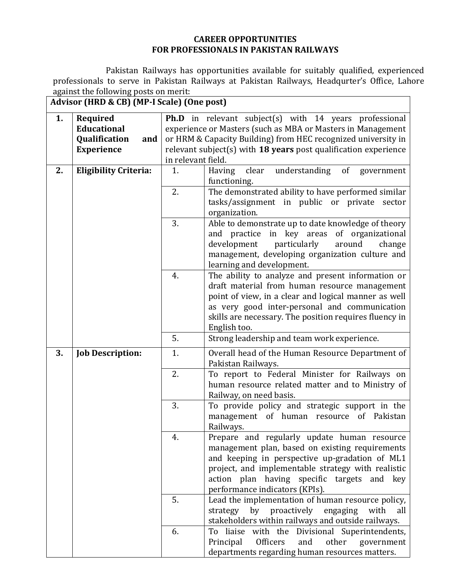## **CAREER OPPORTUNITIES FOR PROFESSIONALS IN PAKISTAN RAILWAYS**

Pakistan Railways has opportunities available for suitably qualified, experienced professionals to serve in Pakistan Railways at Pakistan Railways, Headqurter's Office, Lahore against the following posts on merit:

**Advisor (HRD & CB) (MP-I Scale) (One post)**

| 1. | Required                     | <b>Ph.D</b> in relevant subject(s) with 14 years professional   |                                                             |  |  |  |  |
|----|------------------------------|-----------------------------------------------------------------|-------------------------------------------------------------|--|--|--|--|
|    | <b>Educational</b>           |                                                                 | experience or Masters (such as MBA or Masters in Management |  |  |  |  |
|    | Qualification<br>and         | or HRM & Capacity Building) from HEC recognized university in   |                                                             |  |  |  |  |
|    | <b>Experience</b>            | relevant subject(s) with 18 years post qualification experience |                                                             |  |  |  |  |
|    |                              | in relevant field.                                              |                                                             |  |  |  |  |
| 2. | <b>Eligibility Criteria:</b> | 1.                                                              | understanding of government<br>Having<br>clear              |  |  |  |  |
|    |                              |                                                                 | functioning.                                                |  |  |  |  |
|    |                              | 2.                                                              | The demonstrated ability to have performed similar          |  |  |  |  |
|    |                              | tasks/assignment in public or private sector                    |                                                             |  |  |  |  |
|    |                              |                                                                 | organization.                                               |  |  |  |  |
|    |                              | 3.                                                              | Able to demonstrate up to date knowledge of theory          |  |  |  |  |
|    |                              |                                                                 | and practice in key areas of organizational                 |  |  |  |  |
|    |                              |                                                                 | development<br>particularly<br>around<br>change             |  |  |  |  |
|    |                              |                                                                 | management, developing organization culture and             |  |  |  |  |
|    |                              |                                                                 | learning and development.                                   |  |  |  |  |
|    |                              | 4.                                                              | The ability to analyze and present information or           |  |  |  |  |
|    |                              |                                                                 | draft material from human resource management               |  |  |  |  |
|    |                              |                                                                 | point of view, in a clear and logical manner as well        |  |  |  |  |
|    |                              | as very good inter-personal and communication                   |                                                             |  |  |  |  |
|    |                              | skills are necessary. The position requires fluency in          |                                                             |  |  |  |  |
|    |                              | English too.                                                    |                                                             |  |  |  |  |
|    |                              | 5.                                                              | Strong leadership and team work experience.                 |  |  |  |  |
| 3. | <b>Job Description:</b>      | 1.                                                              | Overall head of the Human Resource Department of            |  |  |  |  |
|    |                              |                                                                 | Pakistan Railways.                                          |  |  |  |  |
|    |                              | 2.                                                              | To report to Federal Minister for Railways on               |  |  |  |  |
|    |                              |                                                                 | human resource related matter and to Ministry of            |  |  |  |  |
|    |                              |                                                                 | Railway, on need basis.                                     |  |  |  |  |
|    |                              |                                                                 | 3.<br>To provide policy and strategic support in the        |  |  |  |  |
|    |                              |                                                                 | management of human resource of Pakistan                    |  |  |  |  |
|    |                              |                                                                 | Railways.                                                   |  |  |  |  |
|    |                              | 4.                                                              | Prepare and regularly update human resource                 |  |  |  |  |
|    |                              |                                                                 | management plan, based on existing requirements             |  |  |  |  |
|    |                              |                                                                 | and keeping in perspective up-gradation of ML1              |  |  |  |  |
|    |                              |                                                                 | project, and implementable strategy with realistic          |  |  |  |  |
|    |                              | action plan having specific targets and key                     |                                                             |  |  |  |  |
|    |                              | performance indicators (KPIs).                                  |                                                             |  |  |  |  |
|    |                              | 5.<br>Lead the implementation of human resource policy,         |                                                             |  |  |  |  |
|    |                              | by<br>proactively<br>strategy<br>engaging<br>with<br>all        |                                                             |  |  |  |  |
|    |                              |                                                                 | stakeholders within railways and outside railways.          |  |  |  |  |
|    |                              | 6.                                                              | To liaise with the Divisional Superintendents,              |  |  |  |  |
|    |                              |                                                                 | Principal<br>Officers<br>other<br>and<br>government         |  |  |  |  |
|    |                              |                                                                 | departments regarding human resources matters.              |  |  |  |  |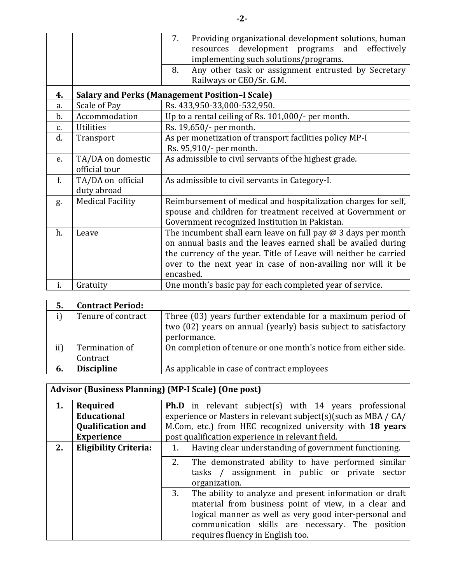|               |                                    | 7.<br>Providing organizational development solutions, human<br>resources development programs and effectively<br>implementing such solutions/programs.<br>Any other task or assignment entrusted by Secretary<br>8.<br>Railways or CEO/Sr. G.M.                                        |  |  |
|---------------|------------------------------------|----------------------------------------------------------------------------------------------------------------------------------------------------------------------------------------------------------------------------------------------------------------------------------------|--|--|
| 4.            |                                    | <b>Salary and Perks (Management Position-I Scale)</b>                                                                                                                                                                                                                                  |  |  |
| a.            | Scale of Pay                       | Rs. 433,950-33,000-532,950.                                                                                                                                                                                                                                                            |  |  |
| $b$ .         | Accommodation                      | Up to a rental ceiling of Rs. 101,000/- per month.                                                                                                                                                                                                                                     |  |  |
| $C_{\bullet}$ | <b>Utilities</b>                   | Rs. 19,650/- per month.                                                                                                                                                                                                                                                                |  |  |
| d.            | Transport                          | As per monetization of transport facilities policy MP-I<br>Rs. 95,910/- per month.                                                                                                                                                                                                     |  |  |
| e.            | TA/DA on domestic<br>official tour | As admissible to civil servants of the highest grade.                                                                                                                                                                                                                                  |  |  |
| f.            | TA/DA on official<br>duty abroad   | As admissible to civil servants in Category-I.                                                                                                                                                                                                                                         |  |  |
| g.            | <b>Medical Facility</b>            | Reimbursement of medical and hospitalization charges for self,<br>spouse and children for treatment received at Government or<br>Government recognized Institution in Pakistan.                                                                                                        |  |  |
| h.            | Leave                              | The incumbent shall earn leave on full pay $\omega$ 3 days per month<br>on annual basis and the leaves earned shall be availed during<br>the currency of the year. Title of Leave will neither be carried<br>over to the next year in case of non-availing nor will it be<br>encashed. |  |  |
| i.            | Gratuity                           | One month's basic pay for each completed year of service.                                                                                                                                                                                                                              |  |  |

| 5.        | <b>Contract Period:</b> |                                                                 |
|-----------|-------------------------|-----------------------------------------------------------------|
|           | Tenure of contract      | Three (03) years further extendable for a maximum period of     |
|           |                         | two (02) years on annual (yearly) basis subject to satisfactory |
|           |                         | performance.                                                    |
| $\rm ii)$ | Termination of          | On completion of tenure or one month's notice from either side. |
|           | Contract                |                                                                 |
| 6.        | <b>Discipline</b>       | As applicable in case of contract employees                     |

## **Advisor (Business Planning) (MP-I Scale) (One post)**

|    | Required                     | <b>Ph.D</b> in relevant subject(s) with 14 years professional                                                                                                                                                                                                           |  |  |  |  |  |
|----|------------------------------|-------------------------------------------------------------------------------------------------------------------------------------------------------------------------------------------------------------------------------------------------------------------------|--|--|--|--|--|
|    | <b>Educational</b>           | experience or Masters in relevant subject(s)(such as MBA / CA/                                                                                                                                                                                                          |  |  |  |  |  |
|    | <b>Qualification and</b>     | M.Com, etc.) from HEC recognized university with 18 years                                                                                                                                                                                                               |  |  |  |  |  |
|    | <b>Experience</b>            | post qualification experience in relevant field.                                                                                                                                                                                                                        |  |  |  |  |  |
| 2. | <b>Eligibility Criteria:</b> | Having clear understanding of government functioning.<br>1.                                                                                                                                                                                                             |  |  |  |  |  |
|    |                              | 2.<br>The demonstrated ability to have performed similar<br>tasks / assignment in public or private sector<br>organization.                                                                                                                                             |  |  |  |  |  |
|    |                              | The ability to analyze and present information or draft<br>3.<br>material from business point of view, in a clear and<br>logical manner as well as very good inter-personal and<br>communication skills are necessary. The position<br>requires fluency in English too. |  |  |  |  |  |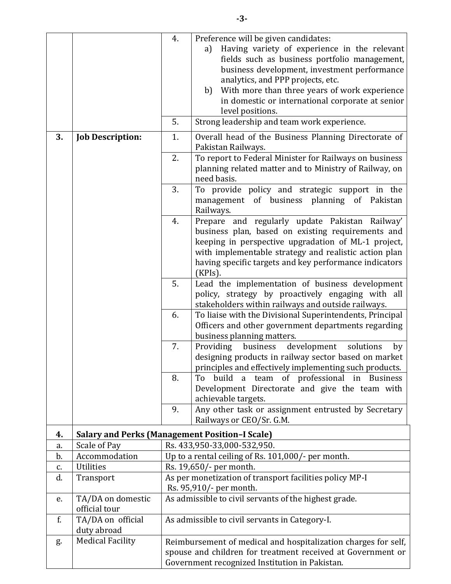|    |                                                       | 4.                                             | Preference will be given candidates:                                                                             |  |  |
|----|-------------------------------------------------------|------------------------------------------------|------------------------------------------------------------------------------------------------------------------|--|--|
|    |                                                       |                                                | Having variety of experience in the relevant<br>a)                                                               |  |  |
|    |                                                       |                                                | fields such as business portfolio management,                                                                    |  |  |
|    |                                                       |                                                | business development, investment performance<br>analytics, and PPP projects, etc.                                |  |  |
|    |                                                       |                                                | With more than three years of work experience<br>b)                                                              |  |  |
|    |                                                       |                                                | in domestic or international corporate at senior                                                                 |  |  |
|    |                                                       |                                                | level positions.                                                                                                 |  |  |
|    |                                                       | 5.                                             | Strong leadership and team work experience.                                                                      |  |  |
| 3. | <b>Job Description:</b>                               | 1.                                             | Overall head of the Business Planning Directorate of<br>Pakistan Railways.                                       |  |  |
|    |                                                       | 2.                                             | To report to Federal Minister for Railways on business<br>planning related matter and to Ministry of Railway, on |  |  |
|    |                                                       | 3.                                             | need basis.<br>To provide policy and strategic support in the                                                    |  |  |
|    |                                                       |                                                | management of business planning of Pakistan<br>Railways.                                                         |  |  |
|    |                                                       | 4.                                             | Prepare and regularly update Pakistan Railway'<br>business plan, based on existing requirements and              |  |  |
|    |                                                       |                                                | keeping in perspective upgradation of ML-1 project,                                                              |  |  |
|    |                                                       |                                                | with implementable strategy and realistic action plan                                                            |  |  |
|    |                                                       |                                                | having specific targets and key performance indicators                                                           |  |  |
|    |                                                       |                                                | $(KPIs)$ .                                                                                                       |  |  |
|    |                                                       | 5.                                             | Lead the implementation of business development                                                                  |  |  |
|    |                                                       |                                                | policy, strategy by proactively engaging with all<br>stakeholders within railways and outside railways.          |  |  |
|    |                                                       | 6.                                             | To liaise with the Divisional Superintendents, Principal                                                         |  |  |
|    |                                                       |                                                | Officers and other government departments regarding                                                              |  |  |
|    |                                                       |                                                | business planning matters.                                                                                       |  |  |
|    |                                                       | 7.                                             | development<br>Providing<br>business<br>solutions<br>by                                                          |  |  |
|    |                                                       |                                                | designing products in railway sector based on market<br>principles and effectively implementing such products.   |  |  |
|    |                                                       | 8.                                             | build a team of professional in Business<br>To                                                                   |  |  |
|    |                                                       |                                                | Development Directorate and give the team with                                                                   |  |  |
|    |                                                       | 9.                                             | achievable targets.                                                                                              |  |  |
|    |                                                       |                                                | Any other task or assignment entrusted by Secretary<br>Railways or CEO/Sr. G.M.                                  |  |  |
| 4. | <b>Salary and Perks (Management Position-I Scale)</b> |                                                |                                                                                                                  |  |  |
| a. | Scale of Pay                                          |                                                | Rs. 433,950-33,000-532,950.                                                                                      |  |  |
| b. | Accommodation                                         |                                                | Up to a rental ceiling of Rs. 101,000/- per month.                                                               |  |  |
| c. | <b>Utilities</b>                                      |                                                | Rs. 19,650/- per month.                                                                                          |  |  |
| d. | Transport                                             |                                                | As per monetization of transport facilities policy MP-I<br>Rs. 95,910/- per month.                               |  |  |
| e. | TA/DA on domestic<br>official tour                    |                                                | As admissible to civil servants of the highest grade.                                                            |  |  |
| f. | TA/DA on official<br>duty abroad                      |                                                | As admissible to civil servants in Category-I.                                                                   |  |  |
| g. | <b>Medical Facility</b>                               |                                                | Reimbursement of medical and hospitalization charges for self,                                                   |  |  |
|    |                                                       |                                                | spouse and children for treatment received at Government or                                                      |  |  |
|    |                                                       | Government recognized Institution in Pakistan. |                                                                                                                  |  |  |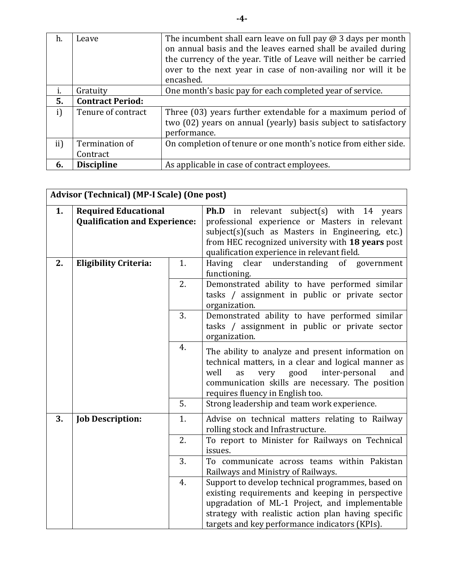| h.  | Leave                   | The incumbent shall earn leave on full pay $@$ 3 days per month<br>on annual basis and the leaves earned shall be availed during<br>the currency of the year. Title of Leave will neither be carried<br>over to the next year in case of non-availing nor will it be |
|-----|-------------------------|----------------------------------------------------------------------------------------------------------------------------------------------------------------------------------------------------------------------------------------------------------------------|
|     |                         | encashed.                                                                                                                                                                                                                                                            |
| 1.  | Gratuity                | One month's basic pay for each completed year of service.                                                                                                                                                                                                            |
| 5.  | <b>Contract Period:</b> |                                                                                                                                                                                                                                                                      |
| i)  | Tenure of contract      | Three (03) years further extendable for a maximum period of                                                                                                                                                                                                          |
|     |                         | two (02) years on annual (yearly) basis subject to satisfactory                                                                                                                                                                                                      |
|     |                         | performance.                                                                                                                                                                                                                                                         |
| ii) | Termination of          | On completion of tenure or one month's notice from either side.                                                                                                                                                                                                      |
|     | Contract                |                                                                                                                                                                                                                                                                      |
| 6.  | <b>Discipline</b>       | As applicable in case of contract employees.                                                                                                                                                                                                                         |

|    | <b>Advisor (Technical) (MP-I Scale) (One post)</b>                  |    |                                                                                                                                                                                                                                                                  |  |  |  |
|----|---------------------------------------------------------------------|----|------------------------------------------------------------------------------------------------------------------------------------------------------------------------------------------------------------------------------------------------------------------|--|--|--|
| 1. | <b>Required Educational</b><br><b>Qualification and Experience:</b> |    | <b>Ph.D</b> in relevant subject(s) with 14<br>years<br>professional experience or Masters in relevant<br>subject(s)(such as Masters in Engineering, etc.)<br>from HEC recognized university with 18 years post<br>qualification experience in relevant field.    |  |  |  |
| 2. | 1.<br><b>Eligibility Criteria:</b><br>2.<br>3.                      |    | Having<br>clear<br>understanding<br>of government<br>functioning.                                                                                                                                                                                                |  |  |  |
|    |                                                                     |    | Demonstrated ability to have performed similar<br>tasks / assignment in public or private sector<br>organization.<br>Demonstrated ability to have performed similar<br>tasks / assignment in public or private sector<br>organization.                           |  |  |  |
|    |                                                                     |    |                                                                                                                                                                                                                                                                  |  |  |  |
|    | 4.                                                                  |    | The ability to analyze and present information on<br>technical matters, in a clear and logical manner as<br>well<br>inter-personal<br>very<br>good<br>as<br>and<br>communication skills are necessary. The position<br>requires fluency in English too.          |  |  |  |
|    | 5.                                                                  |    | Strong leadership and team work experience.                                                                                                                                                                                                                      |  |  |  |
| 3. | <b>Job Description:</b>                                             | 1. | Advise on technical matters relating to Railway<br>rolling stock and Infrastructure.                                                                                                                                                                             |  |  |  |
|    |                                                                     | 2. | To report to Minister for Railways on Technical<br>issues.                                                                                                                                                                                                       |  |  |  |
|    | 3.                                                                  |    | To communicate across teams within Pakistan<br>Railways and Ministry of Railways.                                                                                                                                                                                |  |  |  |
|    | 4.                                                                  |    | Support to develop technical programmes, based on<br>existing requirements and keeping in perspective<br>upgradation of ML-1 Project, and implementable<br>strategy with realistic action plan having specific<br>targets and key performance indicators (KPIs). |  |  |  |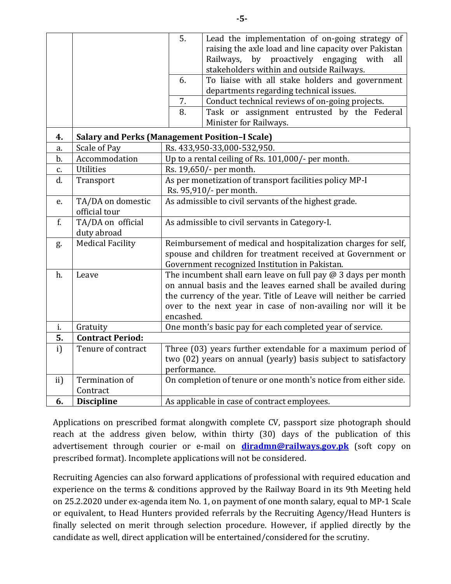|     |                                                       | 5.<br>6.<br>7.                                                                                                                                                                                                                                                                    | Lead the implementation of on-going strategy of<br>raising the axle load and line capacity over Pakistan<br>by proactively engaging<br>Railways,<br>with<br>all<br>stakeholders within and outside Railways.<br>To liaise with all stake holders and government<br>departments regarding technical issues.<br>Conduct technical reviews of on-going projects. |  |
|-----|-------------------------------------------------------|-----------------------------------------------------------------------------------------------------------------------------------------------------------------------------------------------------------------------------------------------------------------------------------|---------------------------------------------------------------------------------------------------------------------------------------------------------------------------------------------------------------------------------------------------------------------------------------------------------------------------------------------------------------|--|
|     |                                                       | 8.                                                                                                                                                                                                                                                                                | Task or assignment entrusted by the Federal<br>Minister for Railways.                                                                                                                                                                                                                                                                                         |  |
| 4.  | <b>Salary and Perks (Management Position-I Scale)</b> |                                                                                                                                                                                                                                                                                   |                                                                                                                                                                                                                                                                                                                                                               |  |
| a.  | Scale of Pay                                          |                                                                                                                                                                                                                                                                                   | Rs. 433,950-33,000-532,950.                                                                                                                                                                                                                                                                                                                                   |  |
| b.  | Accommodation                                         |                                                                                                                                                                                                                                                                                   | Up to a rental ceiling of Rs. 101,000/- per month.                                                                                                                                                                                                                                                                                                            |  |
| c.  | <b>Utilities</b>                                      |                                                                                                                                                                                                                                                                                   | Rs. 19,650/- per month.                                                                                                                                                                                                                                                                                                                                       |  |
| d.  | Transport                                             | As per monetization of transport facilities policy MP-I<br>Rs. 95,910/- per month.                                                                                                                                                                                                |                                                                                                                                                                                                                                                                                                                                                               |  |
| e.  | TA/DA on domestic<br>official tour                    | As admissible to civil servants of the highest grade.                                                                                                                                                                                                                             |                                                                                                                                                                                                                                                                                                                                                               |  |
| f.  | TA/DA on official<br>duty abroad                      | As admissible to civil servants in Category-I.                                                                                                                                                                                                                                    |                                                                                                                                                                                                                                                                                                                                                               |  |
| g.  | <b>Medical Facility</b>                               | Reimbursement of medical and hospitalization charges for self,<br>spouse and children for treatment received at Government or<br>Government recognized Institution in Pakistan.                                                                                                   |                                                                                                                                                                                                                                                                                                                                                               |  |
| h.  | Leave                                                 | The incumbent shall earn leave on full pay $@$ 3 days per month<br>on annual basis and the leaves earned shall be availed during<br>the currency of the year. Title of Leave will neither be carried<br>over to the next year in case of non-availing nor will it be<br>encashed. |                                                                                                                                                                                                                                                                                                                                                               |  |
| i.  | Gratuity                                              | One month's basic pay for each completed year of service.                                                                                                                                                                                                                         |                                                                                                                                                                                                                                                                                                                                                               |  |
| 5.  | <b>Contract Period:</b>                               |                                                                                                                                                                                                                                                                                   |                                                                                                                                                                                                                                                                                                                                                               |  |
| i)  | Tenure of contract                                    | Three (03) years further extendable for a maximum period of<br>two (02) years on annual (yearly) basis subject to satisfactory<br>performance.                                                                                                                                    |                                                                                                                                                                                                                                                                                                                                                               |  |
| ii) | Termination of<br>Contract                            | On completion of tenure or one month's notice from either side.                                                                                                                                                                                                                   |                                                                                                                                                                                                                                                                                                                                                               |  |
| 6.  | <b>Discipline</b>                                     |                                                                                                                                                                                                                                                                                   | As applicable in case of contract employees.                                                                                                                                                                                                                                                                                                                  |  |

Applications on prescribed format alongwith complete CV, passport size photograph should reach at the address given below, within thirty (30) days of the publication of this advertisement through courier or e-mail on **[diradmn@railways.gov.pk](mailto:diradmn@railways.gov.pk)** (soft copy on prescribed format). Incomplete applications will not be considered.

Recruiting Agencies can also forward applications of professional with required education and experience on the terms & conditions approved by the Railway Board in its 9th Meeting held on 25.2.2020 under ex-agenda item No. 1, on payment of one month salary, equal to MP-1 Scale or equivalent, to Head Hunters provided referrals by the Recruiting Agency/Head Hunters is finally selected on merit through selection procedure. However, if applied directly by the candidate as well, direct application will be entertained/considered for the scrutiny.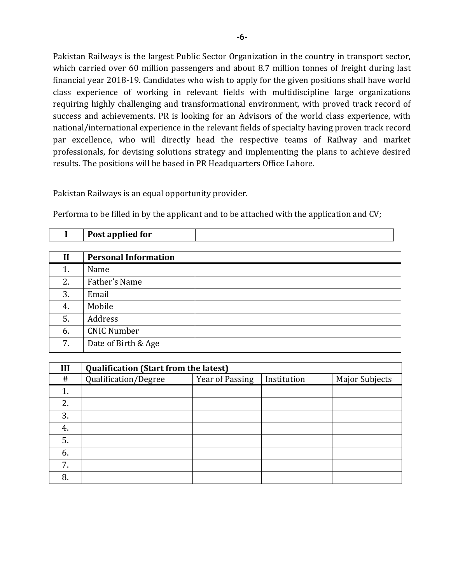Pakistan Railways is the largest Public Sector Organization in the country in transport sector, which carried over 60 million passengers and about 8.7 million tonnes of freight during last financial year 2018-19. Candidates who wish to apply for the given positions shall have world class experience of working in relevant fields with multidiscipline large organizations requiring highly challenging and transformational environment, with proved track record of success and achievements. PR is looking for an Advisors of the world class experience, with national/international experience in the relevant fields of specialty having proven track record par excellence, who will directly head the respective teams of Railway and market professionals, for devising solutions strategy and implementing the plans to achieve desired results. The positions will be based in PR Headquarters Office Lahore.

Pakistan Railways is an equal opportunity provider.

Performa to be filled in by the applicant and to be attached with the application and CV;

| $\mathbf{I}$ | <b>Personal Information</b> |  |
|--------------|-----------------------------|--|
| 1.           | Name                        |  |
| 2.           | Father's Name               |  |
| 3.           | Email                       |  |
| 4.           | Mobile                      |  |
| 5.           | Address                     |  |
| 6.           | <b>CNIC Number</b>          |  |
| 7.           | Date of Birth & Age         |  |

| III | <b>Qualification (Start from the latest)</b> |                 |             |                       |  |  |
|-----|----------------------------------------------|-----------------|-------------|-----------------------|--|--|
| #   | Qualification/Degree                         | Year of Passing | Institution | <b>Major Subjects</b> |  |  |
| 1.  |                                              |                 |             |                       |  |  |
| 2.  |                                              |                 |             |                       |  |  |
| 3.  |                                              |                 |             |                       |  |  |
| 4.  |                                              |                 |             |                       |  |  |
| 5.  |                                              |                 |             |                       |  |  |
| 6.  |                                              |                 |             |                       |  |  |
| 7.  |                                              |                 |             |                       |  |  |
| 8.  |                                              |                 |             |                       |  |  |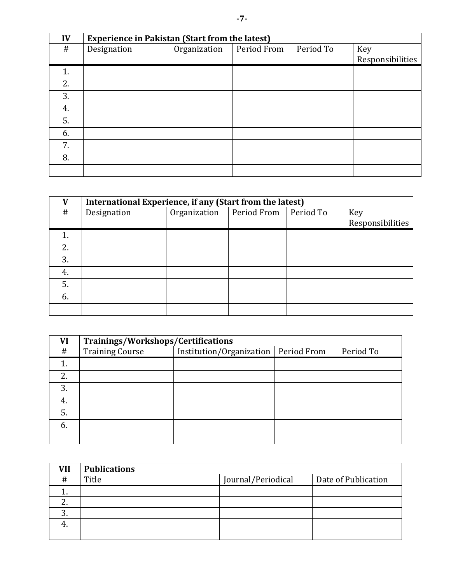| IV | <b>Experience in Pakistan (Start from the latest)</b> |              |             |           |                  |  |
|----|-------------------------------------------------------|--------------|-------------|-----------|------------------|--|
| #  | Designation                                           | Organization | Period From | Period To | Key              |  |
|    |                                                       |              |             |           | Responsibilities |  |
| 1. |                                                       |              |             |           |                  |  |
| 2. |                                                       |              |             |           |                  |  |
| 3. |                                                       |              |             |           |                  |  |
| 4. |                                                       |              |             |           |                  |  |
| 5. |                                                       |              |             |           |                  |  |
| 6. |                                                       |              |             |           |                  |  |
| 7. |                                                       |              |             |           |                  |  |
| 8. |                                                       |              |             |           |                  |  |
|    |                                                       |              |             |           |                  |  |

| V  | International Experience, if any (Start from the latest) |              |             |           |                  |
|----|----------------------------------------------------------|--------------|-------------|-----------|------------------|
| #  | Designation                                              | Organization | Period From | Period To | Key              |
|    |                                                          |              |             |           | Responsibilities |
|    |                                                          |              |             |           |                  |
| 2. |                                                          |              |             |           |                  |
| 3. |                                                          |              |             |           |                  |
| 4. |                                                          |              |             |           |                  |
| 5. |                                                          |              |             |           |                  |
| 6. |                                                          |              |             |           |                  |
|    |                                                          |              |             |           |                  |

| VI | Trainings/Workshops/Certifications |                          |             |           |
|----|------------------------------------|--------------------------|-------------|-----------|
| #  | <b>Training Course</b>             | Institution/Organization | Period From | Period To |
|    |                                    |                          |             |           |
| 2. |                                    |                          |             |           |
| 3. |                                    |                          |             |           |
| 4. |                                    |                          |             |           |
| 5. |                                    |                          |             |           |
| 6. |                                    |                          |             |           |
|    |                                    |                          |             |           |

| <b>VII</b> | <b>Publications</b> |                    |                     |
|------------|---------------------|--------------------|---------------------|
| $\#$       | Title               | Journal/Periodical | Date of Publication |
|            |                     |                    |                     |
|            |                     |                    |                     |
| C.         |                     |                    |                     |
|            |                     |                    |                     |
|            |                     |                    |                     |